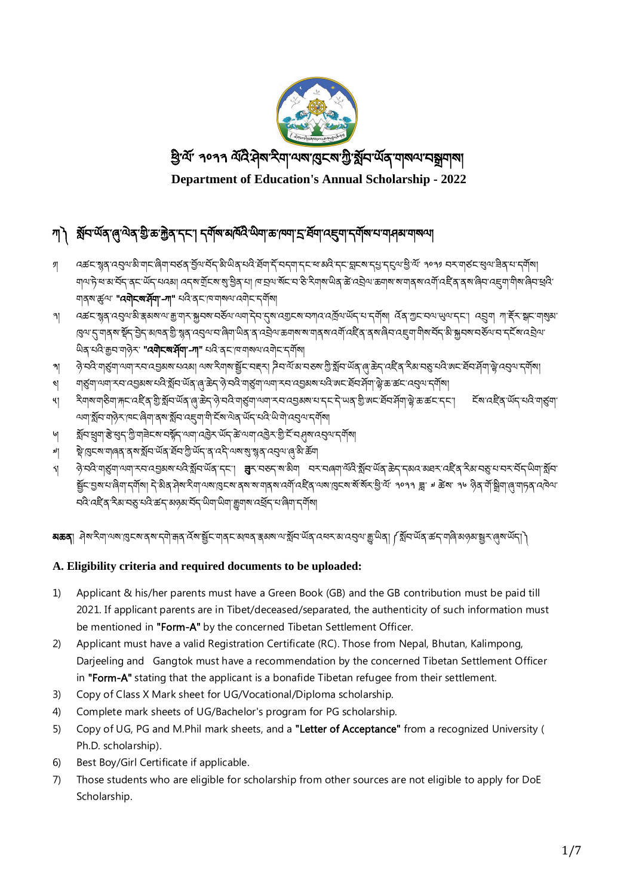

# া৲ গ্লী শ্লীন অন্যৰ জীৱন্ত স্থাতি আৰু মুখ্য বিদ্যালয় স্থাতি আৰু স্থাতি আৰু স্থাতি আৰু স্থাতি আৰু স্থাতি স্থাত

- ༡། འཚང་སྙན་འབུལ་མྱི་གང་ཞྱིག་བཙན་བོལ་བོད་མྱི་ཡྱིན་པའྱི་ཐོག་དོ་བདག་དང་ཕ་མའྱི་དང་བླངས་དཔྱ་དངུལ་ཕྱི་ལོ་ ༢༠༢༡ བར་གཙང་ཕུལ་ཟྱིན་པ་དགོས། আশ্যদ্য স্নামাইন ব্ৰুত অঁন অৰ্থা ব্ৰুত মুঁহিৰ মুখ্ট্ৰিক আৰু অৰ্থিক স্কুত বিৰুত এই বিৰুত্ত অৰ্থা আৰু অৰ্থী বিৰুত্ত বৰাৰীৰ বিৰুত্তি ঘাব্ৰুণ্ড "**ৰ্যান্ন্যৰ্শ্ৰ্মা'-না"** থবি ব্ৰন্দ্ৰামাৰ্য ৰেনীন'ন্মীৰা
- া বরুদস্ত্রবাবের অস্ত্রাসম্ভিত এরা মুখ্য বর্তবার্ত বিশেষ বিশেষ বিশেষ বেলে এই বিশেষ বিশেষ বিশেষ বিশেষ বিশেষ বিশ ଞ୍ଜ୍ୟେ শর্ম শর্ষী সুই বিশিত্ত এই স্কুর বর্তমান জিনা লুপ এই বিশ্লে জনাগৰ মানাই অনুষ্ঠা বেটু এ এই এক বিশিত্ত সমাজ ཡྱིན་པའྱི་རྒྱབ་གཉེར་ "[འགེངས་ཤོག་](https://sherig.org/en/wp-content/uploads/2020/02/DoE-Form-A.pdf)-ཀ" པའྱི་ནང་ཁ་གསལ་འགེང་དགོས།
- ৠ ନ୍ରି ସମ୍ବି ସନ୍ତ୍ରିସା ଏସା ২ସ ୟଗ୍ରଣଷ ସେଣା ଏଷ ସିସାଷ ସ୍ଥିବ ସङ୍ଗମ ନିସ ଐତ ସଙ୍ଗର ଅଁଷ୍ଟି ଏହି ଏହି ଏହି ସଙ୍ଗ ଏକ ଏହି ଏହି ଏହି ଏହି ଏହି ଏହି ଏହି ଏହି ଏ
- ༤། གཙུག་ལག་རབ་འབམས་པའྱི་སོབ་ཡོན་ཞུ་ཆེད་ཉེ་བའྱི་གཙུག་ལག་རབ་འབམས་པའྱི་ཨང་ཐོབ་ཤོག་ལེ་ཆ་ཚང་འབུལ་དགོས།
- ༥། རྱིགས་གཅྱིག་རྐང་འཛིན་གྱི་སོབ་ཡོན་ཞུ་ཆེད་ཉེ་བའྱི་གཙུག་ལག་རབ་འབམས་པ་དང་དེ་ཡན་གྱི་ཨང་ཐོབ་ ཤོག་ལེ་ཆ་ཚང་དང་། ངོས་འཛིན་ཡོད་པའྱི་གཙུག་ অম্বার্ষ্ট্রবাম্প্রিসাম্বার্জ্বা বৃষ্ণর্ষ্ট্রবাহেদ্রুমামীর্হৰূত্রে অবার্থবা অরি এন্ড নার্ক্সা
- া ইনিয়েনাৰ বিশ্বেশ সমূদ অনাত্মীৰ অন্যানীৰ সমূদ কৰা বিশ্বেশ কৰি বিশিষ্ট বিশ্বেশ কৰি
- ༧། སེ་ཁུངས་གཞན་ནས་སོབ་ཡོན་ཐོབ་ཀྱི་ཡོད་ན་འདྱི་ལས་སུ་སྙན་འབུལ་ཞུ་མྱི་ཆོག
- ༨། ཉེ་བའྱི་གཙུག་ལག་རབ་འབམས་པའྱི་སོབ་ཡོན་དང་། ཟུར་བཅད་ས་མྱིག བར་བཞག་ལོའི་སོབ་ཡོན་ཆེད་དམའ་མཐར་འཛིན་རྱིམ་བཅུ་པ་བར་བོད་ཡྱིག་སོབ་ ছুঁ⊏:হ্ৰম'ঘ'ৰিনা'ন্সূৰ্য| ন'গুৰ'ন্সৰ'ন্সাৰা'ৱেন্ম'ৰ্ম'মাৰ্ম'ন্সৰ'ন্সী'নইৰ'অম'ৰ্ছেম্ম'ৰ্ম'ৰাই' ৰাণৰ ক্ল' ঋ ক্লম' ৰাণ ওৰ'ৰাষ্ট্ৰীন'ৰােনাচৰ'নেৰিঅ' ঘই বেই ব্ৰ' ইম'ব্ছ'ঘই ৰু শৰ্ত্য অন্য মৰ্দ্ৰ' অন্য অন্য ক্ষুন্ম বেৰ্শ্ৰ শৰ্ত্ত শৰ্ত্ত শৰ্ত্য

ষ**ক্রব**ি ধ্রম্খইনা অম্ভাৱিত মার্কার বিশিষ্ট্রার্ড এর সেনের স্কুর মার্কার বিশিষ্টি বিশিষ্ট অর্থ শ্রম্প বিশিষ্টি সের স

## **A. Eligibility criteria and required documents to be uploaded:**

- 1) Applicant & his/her parents must have a Green Book (GB) and the GB contribution must be paid till 2021. If applicant parents are in Tibet/deceased/separated, the authenticity of such information must be mentioned in ["Form-A"](https://sherig.org/en/wp-content/uploads/2020/02/DoE-Form-A.pdf) by the concerned Tibetan Settlement Officer.
- 2) Applicant must have a valid Registration Certificate (RC). Those from Nepal, Bhutan, Kalimpong, Darjeeling and Gangtok must have a recommendation by the concerned Tibetan Settlement Officer in "Form-A" stating that the applicant is a bonafide Tibetan refugee from their settlement.
- 3) Copy of Class X Mark sheet for UG/Vocational/Diploma scholarship.
- 4) Complete mark sheets of UG/Bachelor's program for PG scholarship.
- 5) Copy of UG, PG and M.Phil mark sheets, and a "Letter of Acceptance" from a recognized University ( Ph.D. scholarship).
- 6) Best Boy/Girl Certificate if applicable.
- 7) Those students who are eligible for scholarship from other sources are not eligible to apply for DoE Scholarship.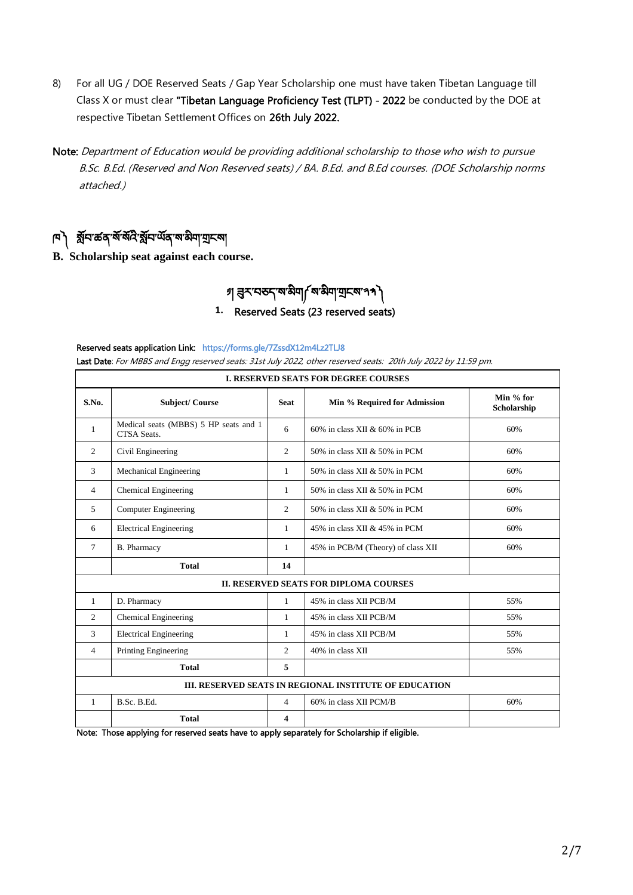- 8) For all UG / DOE Reserved Seats / Gap Year Scholarship one must have taken Tibetan Language till Class X or must clear "Tibetan Language Proficiency Test (TLPT) - 2022 be conducted by the DOE at respective Tibetan Settlement Offices on 26th July 2022.
- Note: Department of Education would be providing additional scholarship to those who wish to pursue B.Sc. B.Ed. (Reserved and Non Reserved seats) / BA. B.Ed. and B.Ed courses. (DOE Scholarship norms attached.)

## াণ ব্লী মুন কৰ বৰ বিষয়ে অনি অনুসৰী বিষয়

**B. Scholarship seat against each course.**

# া প্ৰস্নতন্ক্ষিত্ৰা ৰাজ্যৰ স্বাসী

### **1.** Reserved Seats (23 reserved seats)

#### Reserved seats application Link: https://forms.gle/7ZssdX12m4Lz2TLJ8

Last Date: For MBBS and Engg reserved seats: 31st July 2022, other reserved seats: 20th July 2022 by 11:59 pm.

| <b>I. RESERVED SEATS FOR DEGREE COURSES</b>            |                                                      |                |                                    |                          |  |
|--------------------------------------------------------|------------------------------------------------------|----------------|------------------------------------|--------------------------|--|
| S.No.                                                  | <b>Subject/Course</b>                                | <b>Seat</b>    | Min % Required for Admission       | Min % for<br>Scholarship |  |
| 1                                                      | Medical seats (MBBS) 5 HP seats and 1<br>CTSA Seats. | 6              | 60% in class XII & 60% in PCB      | 60%                      |  |
| 2                                                      | Civil Engineering                                    | $\mathfrak{2}$ | 50% in class XII & 50% in PCM      | 60%                      |  |
| $\mathcal{R}$                                          | <b>Mechanical Engineering</b>                        | 1              | 50% in class XII & 50% in PCM      | 60%                      |  |
| 4                                                      | <b>Chemical Engineering</b>                          | $\mathbf{1}$   | 50% in class XII & 50% in PCM      | 60%                      |  |
| $\overline{5}$                                         | Computer Engineering                                 | $\mathfrak{2}$ | 50% in class XII & 50% in PCM      | 60%                      |  |
| 6                                                      | <b>Electrical Engineering</b>                        | $\mathbf{1}$   | 45% in class XII & 45% in PCM      | 60%                      |  |
| $\tau$                                                 | <b>B.</b> Pharmacy                                   | 1              | 45% in PCB/M (Theory) of class XII | 60%                      |  |
|                                                        | <b>Total</b>                                         | 14             |                                    |                          |  |
| <b>II. RESERVED SEATS FOR DIPLOMA COURSES</b>          |                                                      |                |                                    |                          |  |
| 1                                                      | D. Pharmacy                                          | $\mathbf{1}$   | 45% in class XII PCB/M             | 55%                      |  |
| 2                                                      | <b>Chemical Engineering</b>                          | $\mathbf{1}$   | 45% in class XII PCB/M             | 55%                      |  |
| 3                                                      | <b>Electrical Engineering</b>                        | 1              | 45% in class XII PCB/M             | 55%                      |  |
| $\overline{4}$                                         | <b>Printing Engineering</b>                          | $\mathfrak{2}$ | 40% in class XII                   | 55%                      |  |
|                                                        | <b>Total</b>                                         | 5              |                                    |                          |  |
| III. RESERVED SEATS IN REGIONAL INSTITUTE OF EDUCATION |                                                      |                |                                    |                          |  |
| 1                                                      | B.Sc. B.Ed.                                          | 4              | 60% in class XII PCM/B             | 60%                      |  |
|                                                        | <b>Total</b>                                         | 4              |                                    |                          |  |

Note: Those applying for reserved seats have to apply separately for Scholarship if eligible.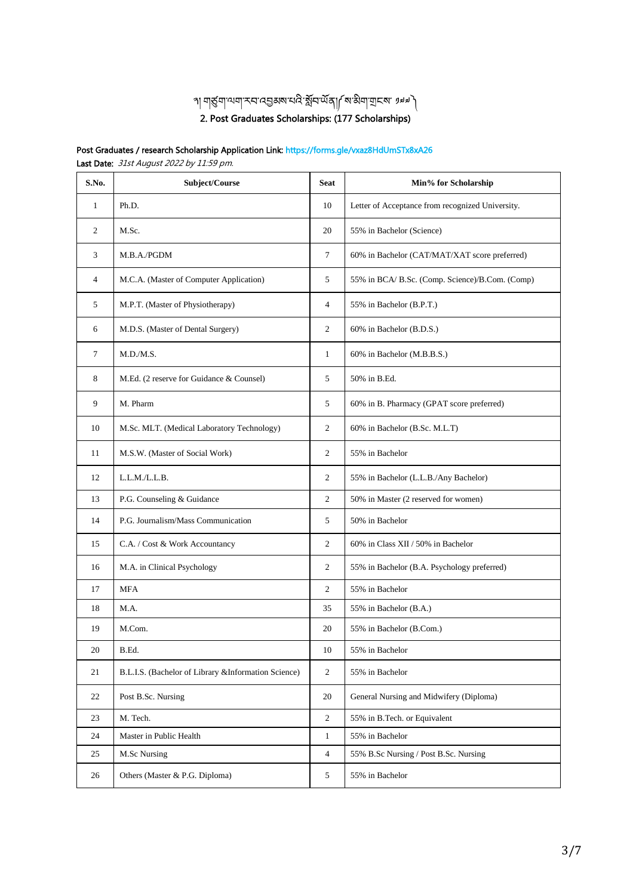## ل العلميّة إلى المُعادي الإعلام المُعادي المُعادي المُعادي المُعادي المُعادي المُعادي المُعادي المُ<br>والتي تعليق المُعادي المُعادي المُعادي المُعادي المُعادي المُعادي المُعادي المُعادي المُعادي المُعادي المُعادي 2. Post Graduates Scholarships: (177 Scholarships)

#### Post Graduates / research Scholarship Application Link: https://forms.gle/vxaz8HdUmSTx8xA26 Last Date: 31st August 2022 by 11:59 pm.

| S.No.          | Subject/Course                                       | <b>Seat</b>    | Min% for Scholarship                             |
|----------------|------------------------------------------------------|----------------|--------------------------------------------------|
| 1              | Ph.D.                                                | 10             | Letter of Acceptance from recognized University. |
| $\overline{c}$ | M.Sc.                                                | 20             | 55% in Bachelor (Science)                        |
| 3              | M.B.A./PGDM                                          | $\tau$         | 60% in Bachelor (CAT/MAT/XAT score preferred)    |
| $\overline{4}$ | M.C.A. (Master of Computer Application)              | 5              | 55% in BCA/ B.Sc. (Comp. Science)/B.Com. (Comp)  |
| 5              | M.P.T. (Master of Physiotherapy)                     | $\overline{4}$ | 55% in Bachelor (B.P.T.)                         |
| 6              | M.D.S. (Master of Dental Surgery)                    | $\mathfrak{2}$ | 60% in Bachelor (B.D.S.)                         |
| 7              | M.D.M.S.                                             | 1              | 60% in Bachelor (M.B.B.S.)                       |
| 8              | M.Ed. (2 reserve for Guidance & Counsel)             | 5              | 50% in B.Ed.                                     |
| 9              | M. Pharm                                             | 5              | 60% in B. Pharmacy (GPAT score preferred)        |
| 10             | M.Sc. MLT. (Medical Laboratory Technology)           | $\mathfrak{2}$ | 60% in Bachelor (B.Sc. M.L.T)                    |
| 11             | M.S.W. (Master of Social Work)                       | $\mathfrak{2}$ | 55% in Bachelor                                  |
| 12             | L.L.M./L.L.B.                                        | 2              | 55% in Bachelor (L.L.B./Any Bachelor)            |
| 13             | P.G. Counseling & Guidance                           | 2              | 50% in Master (2 reserved for women)             |
| 14             | P.G. Journalism/Mass Communication                   | 5              | 50% in Bachelor                                  |
| 15             | C.A. / Cost & Work Accountancy                       | 2              | 60% in Class XII / 50% in Bachelor               |
| 16             | M.A. in Clinical Psychology                          | $\mathfrak{2}$ | 55% in Bachelor (B.A. Psychology preferred)      |
| 17             | <b>MFA</b>                                           | 2              | 55% in Bachelor                                  |
| 18             | M.A.                                                 | 35             | 55% in Bachelor (B.A.)                           |
| 19             | M.Com.                                               | 20             | 55% in Bachelor (B.Com.)                         |
| $20\,$         | B.Ed.                                                | 10             | 55% in Bachelor                                  |
| 21             | B.L.I.S. (Bachelor of Library & Information Science) | 2              | 55% in Bachelor                                  |
| 22             | Post B.Sc. Nursing                                   | 20             | General Nursing and Midwifery (Diploma)          |
| 23             | M. Tech.                                             | $\sqrt{2}$     | 55% in B.Tech. or Equivalent                     |
| 24             | Master in Public Health                              | $\mathbf{1}$   | 55% in Bachelor                                  |
| 25             | M.Sc Nursing                                         | 4              | 55% B.Sc Nursing / Post B.Sc. Nursing            |
| 26             | Others (Master & P.G. Diploma)                       | 5              | 55% in Bachelor                                  |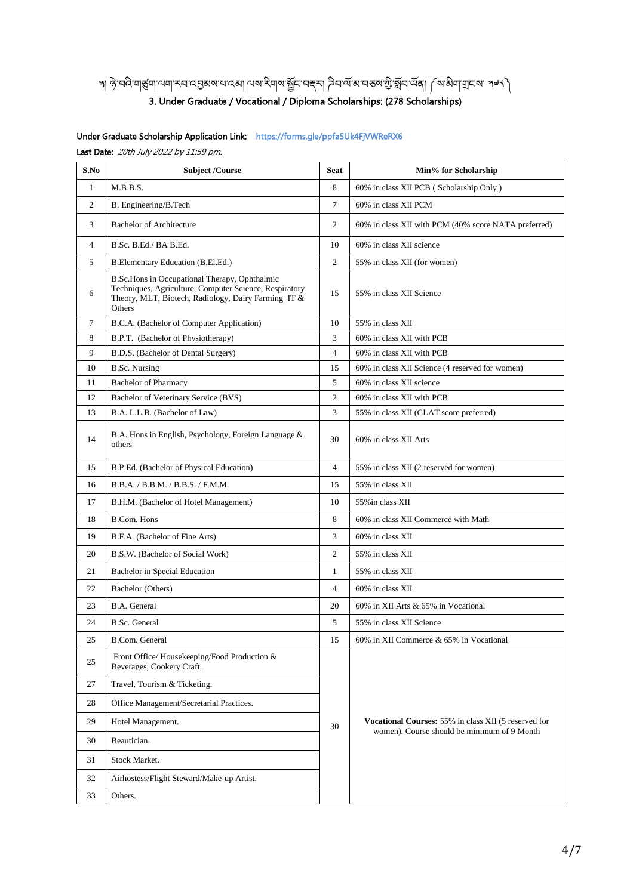## খা ঔ.বন্তু নাপ্ৰীৰ বিভিন্ন এৰাৰ প্ৰাৰম্ভিত স্থান প্ৰাৰম্ভিত স্থান স্থান স্থান স্থান স্থান স্থান স্থান স্থা 3. Under Graduate / Vocational / Diploma Scholarships: (278 Scholarships)

#### Under Graduate Scholarship Application Link: https://forms.gle/ppfa5Uk4FjVWReRX6

Last Date: 20th July 2022 by 11:59 pm.

| S.No           | <b>Subject /Course</b>                                                                                                                                                   | <b>Seat</b>    | Min% for Scholarship                                                                                |  |
|----------------|--------------------------------------------------------------------------------------------------------------------------------------------------------------------------|----------------|-----------------------------------------------------------------------------------------------------|--|
| $\mathbf{1}$   | M.B.B.S.                                                                                                                                                                 | 8              | 60% in class XII PCB (Scholarship Only)                                                             |  |
| $\overline{c}$ | B. Engineering/B. Tech                                                                                                                                                   | $\tau$         | 60% in class XII PCM                                                                                |  |
| 3              | <b>Bachelor of Architecture</b>                                                                                                                                          | 2              | 60% in class XII with PCM (40% score NATA preferred)                                                |  |
| $\overline{4}$ | B.Sc. B.Ed./ BA B.Ed.                                                                                                                                                    | 10             | 60% in class XII science                                                                            |  |
| 5              | B.Elementary Education (B.El.Ed.)                                                                                                                                        | $\overline{c}$ | 55% in class XII (for women)                                                                        |  |
| 6              | B.Sc.Hons in Occupational Therapy, Ophthalmic<br>Techniques, Agriculture, Computer Science, Respiratory<br>Theory, MLT, Biotech, Radiology, Dairy Farming IT &<br>Others | 15             | 55% in class XII Science                                                                            |  |
| $\tau$         | B.C.A. (Bachelor of Computer Application)                                                                                                                                | 10             | 55% in class XII                                                                                    |  |
| 8              | B.P.T. (Bachelor of Physiotherapy)                                                                                                                                       | 3              | 60% in class XII with PCB                                                                           |  |
| 9              | B.D.S. (Bachelor of Dental Surgery)                                                                                                                                      | $\overline{4}$ | 60% in class XII with PCB                                                                           |  |
| 10             | <b>B.Sc. Nursing</b>                                                                                                                                                     | 15             | 60% in class XII Science (4 reserved for women)                                                     |  |
| 11             | <b>Bachelor of Pharmacy</b>                                                                                                                                              | 5              | 60% in class XII science                                                                            |  |
| 12             | Bachelor of Veterinary Service (BVS)                                                                                                                                     | $\mathfrak{2}$ | 60% in class XII with PCB                                                                           |  |
| 13             | B.A. L.L.B. (Bachelor of Law)                                                                                                                                            | 3              | 55% in class XII (CLAT score preferred)                                                             |  |
| 14             | B.A. Hons in English, Psychology, Foreign Language &<br>others                                                                                                           | 30             | 60% in class XII Arts                                                                               |  |
| 15             | B.P.Ed. (Bachelor of Physical Education)                                                                                                                                 | $\overline{4}$ | 55% in class XII (2 reserved for women)                                                             |  |
| 16             | B.B.A. / B.B.M. / B.B.S. / F.M.M.                                                                                                                                        | 15             | 55% in class XII                                                                                    |  |
| 17             | B.H.M. (Bachelor of Hotel Management)                                                                                                                                    | 10             | 55% in class XII                                                                                    |  |
| 18             | <b>B.Com. Hons</b>                                                                                                                                                       | 8              | 60% in class XII Commerce with Math                                                                 |  |
| 19             | B.F.A. (Bachelor of Fine Arts)                                                                                                                                           | 3              | 60% in class XII                                                                                    |  |
| 20             | B.S.W. (Bachelor of Social Work)                                                                                                                                         | $\overline{2}$ | 55% in class XII                                                                                    |  |
| 21             | Bachelor in Special Education                                                                                                                                            | $\mathbf{1}$   | 55% in class XII                                                                                    |  |
| 22             | Bachelor (Others)                                                                                                                                                        | $\overline{4}$ | 60% in class XII                                                                                    |  |
| 23             | B.A. General                                                                                                                                                             | 20             | 60% in XII Arts & 65% in Vocational                                                                 |  |
| 24             | <b>B.Sc.</b> General                                                                                                                                                     | 5              | 55% in class XII Science                                                                            |  |
| 25             | B.Com. General                                                                                                                                                           | 15             | 60% in XII Commerce & 65% in Vocational                                                             |  |
| $25\,$         | Front Office/Housekeeping/Food Production &<br>Beverages, Cookery Craft.                                                                                                 |                |                                                                                                     |  |
| 27             | Travel, Tourism & Ticketing.                                                                                                                                             |                | Vocational Courses: 55% in class XII (5 reserved for<br>women). Course should be minimum of 9 Month |  |
| 28             | Office Management/Secretarial Practices.                                                                                                                                 |                |                                                                                                     |  |
| 29             | Hotel Management.                                                                                                                                                        | 30             |                                                                                                     |  |
| 30             | Beautician.                                                                                                                                                              |                |                                                                                                     |  |
| 31             | Stock Market.                                                                                                                                                            |                |                                                                                                     |  |
| 32             | Airhostess/Flight Steward/Make-up Artist.                                                                                                                                |                |                                                                                                     |  |
| 33             | Others.                                                                                                                                                                  |                |                                                                                                     |  |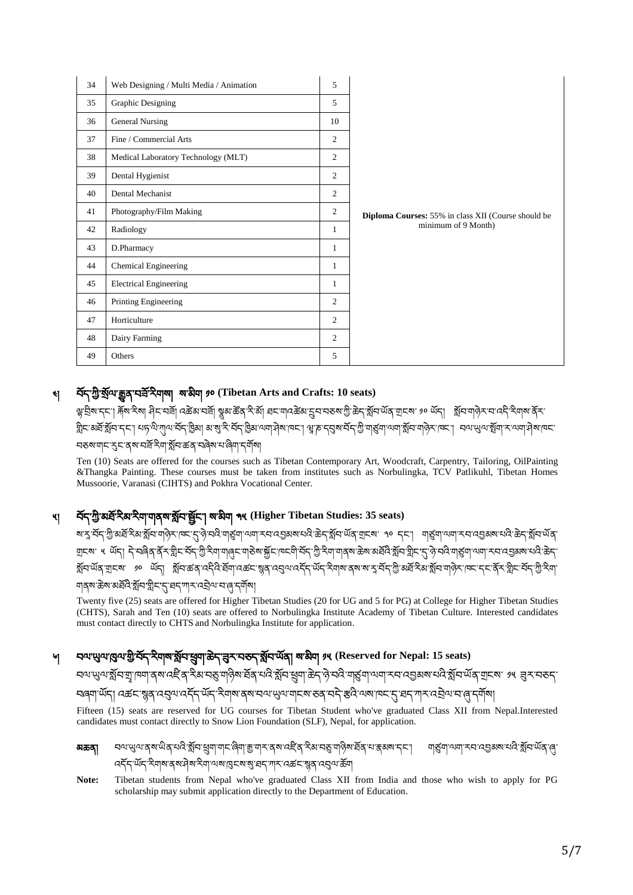| 34 | Web Designing / Multi Media / Animation | 5              |                                                     |
|----|-----------------------------------------|----------------|-----------------------------------------------------|
| 35 | Graphic Designing                       | 5              |                                                     |
| 36 | <b>General Nursing</b>                  | 10             |                                                     |
| 37 | Fine / Commercial Arts                  | $\overline{c}$ |                                                     |
| 38 | Medical Laboratory Technology (MLT)     | $\overline{c}$ |                                                     |
| 39 | Dental Hygienist                        | 2              |                                                     |
| 40 | Dental Mechanist                        | 2              |                                                     |
| 41 | Photography/Film Making                 | 2              | Diploma Courses: 55% in class XII (Course should be |
| 42 | Radiology                               | $\mathbf{1}$   | minimum of 9 Month)                                 |
| 43 | D.Pharmacy                              | $\mathbf{1}$   |                                                     |
| 44 | Chemical Engineering                    | 1              |                                                     |
| 45 | <b>Electrical Engineering</b>           | 1              |                                                     |
| 46 | Printing Engineering                    | $\mathbf{2}$   |                                                     |
| 47 | Horticulture                            | $\overline{c}$ |                                                     |
| 48 | Dairy Farming                           | $\overline{c}$ |                                                     |
| 49 | Others                                  | 5              |                                                     |

## ༤། བོད་ཀྱི་སོལ་རྒྱུན་བཟོ་རྱིགས། ས་མྱིག ༡༠ **(Tibetan Arts and Crafts: 10 seats)**

ལ་བྲྱིས་དང་། རྐོས་རྱིས། ཤྱིང་བཟོ། འཚེམ་བཟོ། སྣུམ་ཚོན་རྱི་མོ། ཐང་གའཚེམ་དྲུབ་བཅས་ཀྱི་ཆེད་སོབ་ཡོན་གངས་ ༡༠ ཡོད། སོབ་གཉེར་བ་འདྱི་རྱིགས་ནོར་ গ্নীমস্ত্ৰই গ্লীবানমা ধানাৰী আৰু বিধায়ী আৰু বিধায়ী আৰু বিধায়ী আৰু বিধায়ী আৰু বিধায়ী আৰু বিধায়ী বিধায়ী ঘতম'মা্ম'মুম'বই'ইমাইমিক্ত মৰিম'মাৰিমা'বৰ্মীমা

Ten (10) Seats are offered for the courses such as Tibetan Contemporary Art, Woodcraft, Carpentry, Tailoring, OilPainting &Thangka Painting. These courses must be taken from institutes such as Norbulingka, TCV Patlikuhl, Tibetan Homes Mussoorie, Varanasi (CIHTS) and Pokhra Vocational Center.

## ༥། བོད་ཀྱི་མཐོ་རྱིམ་རྱིག་གནས་སོབ་སོང་། ས་མྱིག ༣༥ **(Higher Tibetan Studies: 35 seats)**

য়'মুম্বেন্ট্র'স্কর্স্রিস'র্মন'নাড়িস'দেন্দ্র'ন্ট'ন্সইনাড়ান্মন'নেন্ড্রমম'ন্সই ক্রন'র্মুন'র্মর'ন্সেম' ক ন্না। শর্ত্তমা'ন্সামন্সম'নে'ই'ক্কন'র্ম্রন'র্মন' আ্বৰে: ১ অঁন। নিম্বৰৰ ইনিষ্ট্ৰান বৰ স্ত্ৰীসমাৰ্লৰ অৰুজন্মীন বিৰত্তী বৰ স্ত্ৰীসমাৰ্লৰ জ্ঞান বৰ্ত্তীসমূহ বিৰত্ত ॷॕॸॱॶॣॸॱॹॖॎॱॹ॔ॴऀऻॱॷॕॴख़ॳॱॳड़ॖऻॱख़ॾॱख़ऺॳॳॳड़ॱॷॺॱॳॎॕॴख़ऻख़ॷॴख़ॳख़ॱऄख़ऻफ़ॖॷॴख़ॷऻख़ख़ऻॷॴख़ऻॸॳॣख़ॷऻॸॖख़ॖऻॱॷॷॴ <u>নাৰ্ম্মজ্ঞমাৰ্মৰ্দ্ৰ স্থানস্মীন্দ্ৰ মান্দ্ৰ মান্দ্ৰমান্ত্ৰ দ</u>ৰ্শ্ৰমা

Twenty five (25) seats are offered for Higher Tibetan Studies (20 for UG and 5 for PG) at College for Higher Tibetan Studies (CHTS), Sarah and Ten (10) seats are offered to Norbulingka Institute Academy of Tibetan Culture. Interested candidates must contact directly to CHTS and Norbulingka Institute for application.

## ༦། བལ་ཡུལ་ཁུལ་གྱི་བོད་རྱིགས་སོབ་ཕྲུག་ཆེད་ཟུར་བཅད་སོབ་ཡོན། ས་མྱིག ༡༥ **(Reserved for Nepal: 15 seats)**

বণ্ড়্যণস্ট্র্বিশ্রাদ্মা রম্বাইের ইম্বার্ছ্যদ্বিম র্দ্রবার্থই স্থান খ্রদাক্তবার্ণ বার্ষ্য নামা করা ব্যক্তবার্ষ বাৰ্ণা উঁদা বৰ্ক্তমস্ত্ৰৰ ব্যৱশত্ত্বী কৰি ক্ৰমৰ বিৰোধ কৰা প্ৰকাশ কৰা বৰ্ত্ত ৰাই ক্ৰম কৰা কৰা বিৰোধ বিৰোধ পৰি

Fifteen (15) seats are reserved for UG courses for Tibetan Student who've graduated Class XII from Nepal.Interested candidates must contact directly to Snow Lion Foundation (SLF), Nepal, for application.



**Note:** Tibetan students from Nepal who've graduated Class XII from India and those who wish to apply for PG scholarship may submit application directly to the Department of Education.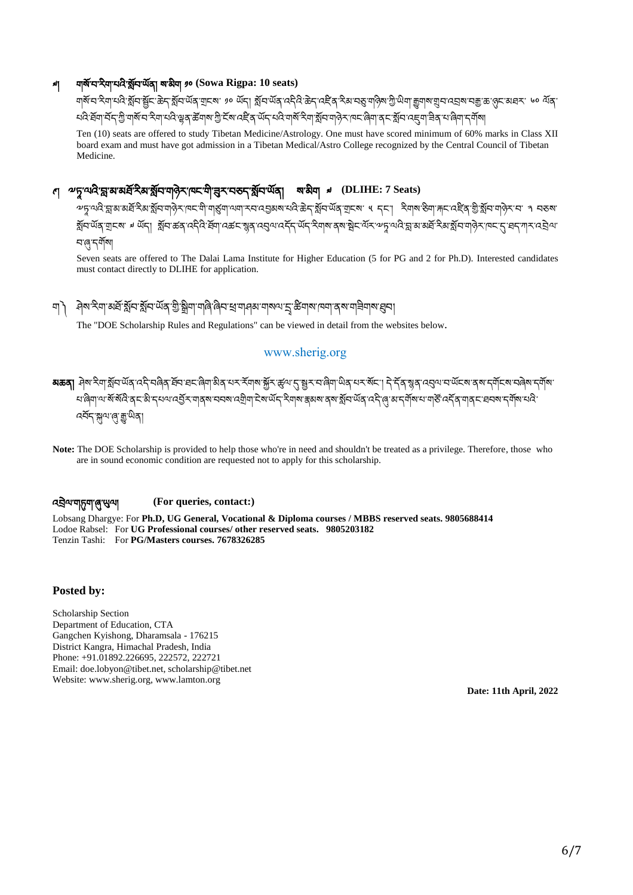### ༧། གསོ་བ་རྱིག་པའྱི་སོབ་ཡོན། ས་མྱིག ༡༠ **(Sowa Rigpa: 10 seats)**

ানাগণ্ড খ্টাব ষ্ট্ৰান্ড্ৰান্ট মুখন অন্তৰ্জীৰ অন্য মুখন অন্তৰ্ভুগত আৰু প্ৰকাশক আৰু অন্য মুখাৰ মাত্ৰা অন্য অন্য স ઘલે કૅવા ચૅન गुजारू च देवा घड़े ख़ब ऊँवारा गुरे स्वादद्देव ॲन घड़े गायू देवा श्लेम गढ़ेन ख़बा बन श्लेम बना हवा

Ten (10) seats are offered to study Tibetan Medicine/Astrology. One must have scored minimum of 60% marks in Class XII board exam and must have got admission in a Tibetan Medical/Astro College recognized by the Central Council of Tibetan Medicine.

## ণ **৺**চূ<sup>'ঝে</sup>বি'হ্ল'ম'মৰ্ষ্ট<sup>2</sup>ৰ'ৰ্ম্মুন'মৰ্ট্স'ম্মন'ন্মৰ্হ'ৰ্ম্মুন'ৰ্ম্মন' অ'ঠীম ৶ (DLIHE: 7 Seats)

ক্ট্রাস্ত্রাস্থ্রাস্থ্রাস্থ্রাস্থ্রাস্থ্রাস্থ্রাস্থ্রাস্থ্রাস্ম্রাস্করারেগ্রুমার্মেই উন্মুম্মেরিস্মার্থ ধ্রন্। ইনামাইনাস্করার্মাস্করার নাকমা སོབ་ཡོན་གངས་ ༧ ཡོད། སོབ་ཚན་འདྱིའྱི་ཐོག་འཚང་སྙན་འབུལ་འདོད་ཡོད་རྱིགས་ནས་སེང་ལོར་༸ཏཱ་ལའྱི་བླ་མ་མཐོ་རྱིམ་སོབ་གཉེར་ཁང་དུ་ཐད་ཀར་འབྲེལ་ ন'ৰে'নৰ্মীমা

Seven seats are offered to The Dalai Lama Institute for Higher Education (5 for PG and 2 for Ph.D). Interested candidates must contact directly to DLIHE for application.

### ག༽ ཤེས་རྱིག་མཐོ་སོབ་སོབ་ཡོན་གྱི་སྒྲྱིག་གཞྱི་ཞྱིབ་ཕྲ་གཤམ་གསལ་དྲྭ་ཚིགས་ཁག་ནས་གཟྱིགས་ཐུབ།

The "DOE Scholarship Rules and Regulations" can be viewed in detail from the websites below.

#### www.sherig.org

མཆན། ཤེས་རྱིག་སོབ་ཡོན་འདྱི་བཞྱིན་ཐོབ་ཐང་ཞྱིག་མྱིན་པར་རོགས་སྐྱོར་ཚུལ་དུ་སར་བ་ཞྱིག་ཡྱིན་པར་སོང་། དེ་དོན་སྙན་འབུལ་བ་ཡོངས་ནས་དགོངས་བཞེས་དགོས་ <u>ਖ਼এ'ৰের্ই</u>র অর্জ'ব্যব্জ'বেট্রীয়'ইজ'র্উন্'ইঅ্ম'স্ক্রুরজ'র্জ'র্মুব'র্উর'ৰ্ই'ণ্ড্'র'ন্মী্জ'য'অর্ক্ট'ৰ্ইর'আব্রু'প্রক বর্ষন স্নান্ম (ৰাজ্য অবা

**Note:** The DOE Scholarship is provided to help those who're in need and shouldn't be treated as a privilege. Therefore, those who are in sound economic condition are requested not to apply for this scholarship.

#### འབྲེལ་གཏུག་ཞུ་ཡུལ། **(For queries, contact:)**

Lobsang Dhargye: For **Ph.D, UG General, Vocational & Diploma courses / MBBS reserved seats. 9805688414** Lodoe Rabsel: For **UG Professional courses/ other reserved seats. 9805203182** Tenzin Tashi: For **PG/Masters courses. 7678326285**

#### **Posted by:**

Scholarship Section Department of Education, CTA Gangchen Kyishong, Dharamsala - 176215 District Kangra, Himachal Pradesh, India Phone: +91.01892.226695, 222572, 222721 Email: doe.lobyon@tibet.net, scholarship@tibet.net Website: www.sherig.org, www.lamton.org

**Date: 11th April, 2022**